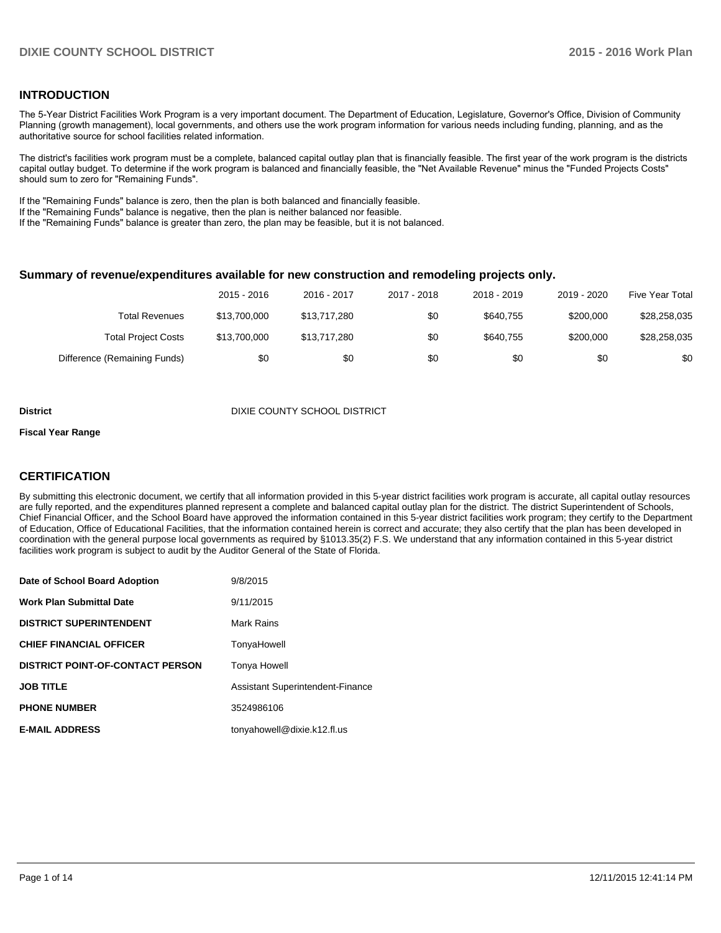## **INTRODUCTION**

The 5-Year District Facilities Work Program is a very important document. The Department of Education, Legislature, Governor's Office, Division of Community Planning (growth management), local governments, and others use the work program information for various needs including funding, planning, and as the authoritative source for school facilities related information.

The district's facilities work program must be a complete, balanced capital outlay plan that is financially feasible. The first year of the work program is the districts capital outlay budget. To determine if the work program is balanced and financially feasible, the "Net Available Revenue" minus the "Funded Projects Costs" should sum to zero for "Remaining Funds".

If the "Remaining Funds" balance is zero, then the plan is both balanced and financially feasible.

If the "Remaining Funds" balance is negative, then the plan is neither balanced nor feasible.

If the "Remaining Funds" balance is greater than zero, the plan may be feasible, but it is not balanced.

#### **Summary of revenue/expenditures available for new construction and remodeling projects only.**

|                              | 2015 - 2016  | 2016 - 2017  | 2017 - 2018 | 2018 - 2019 | 2019 - 2020 | Five Year Total |
|------------------------------|--------------|--------------|-------------|-------------|-------------|-----------------|
| Total Revenues               | \$13,700,000 | \$13.717.280 | \$0         | \$640.755   | \$200,000   | \$28,258,035    |
| <b>Total Project Costs</b>   | \$13,700,000 | \$13.717.280 | \$0         | \$640.755   | \$200,000   | \$28.258.035    |
| Difference (Remaining Funds) | \$0          | \$0          | \$0         | \$0         | \$0         | \$0             |

#### **District District District District District District District District District District District District D**

#### **Fiscal Year Range**

## **CERTIFICATION**

By submitting this electronic document, we certify that all information provided in this 5-year district facilities work program is accurate, all capital outlay resources are fully reported, and the expenditures planned represent a complete and balanced capital outlay plan for the district. The district Superintendent of Schools, Chief Financial Officer, and the School Board have approved the information contained in this 5-year district facilities work program; they certify to the Department of Education, Office of Educational Facilities, that the information contained herein is correct and accurate; they also certify that the plan has been developed in coordination with the general purpose local governments as required by §1013.35(2) F.S. We understand that any information contained in this 5-year district facilities work program is subject to audit by the Auditor General of the State of Florida.

| Date of School Board Adoption           | 9/8/2015                         |
|-----------------------------------------|----------------------------------|
| <b>Work Plan Submittal Date</b>         | 9/11/2015                        |
| <b>DISTRICT SUPERINTENDENT</b>          | Mark Rains                       |
| <b>CHIEF FINANCIAL OFFICER</b>          | TonyaHowell                      |
| <b>DISTRICT POINT-OF-CONTACT PERSON</b> | <b>Tonya Howell</b>              |
| <b>JOB TITLE</b>                        | Assistant Superintendent-Finance |
| <b>PHONE NUMBER</b>                     | 3524986106                       |
| <b>E-MAIL ADDRESS</b>                   | tonyahowell@dixie.k12.fl.us      |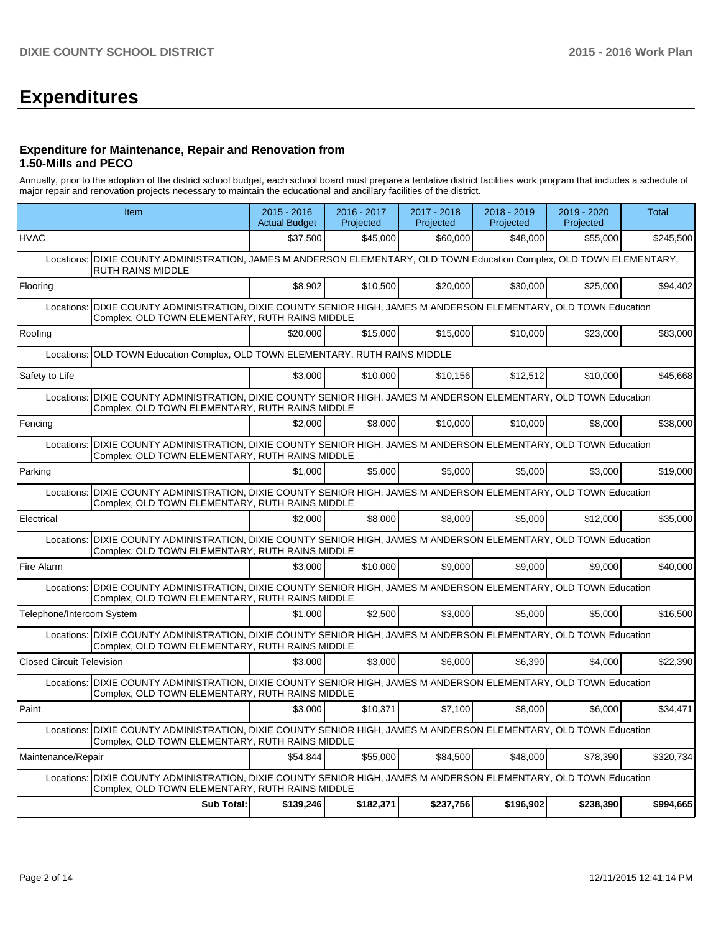# **Expenditures**

#### **Expenditure for Maintenance, Repair and Renovation from 1.50-Mills and PECO**

Annually, prior to the adoption of the district school budget, each school board must prepare a tentative district facilities work program that includes a schedule of major repair and renovation projects necessary to maintain the educational and ancillary facilities of the district.

|                                  | Item                                                                                                                                                                   | $2015 - 2016$<br><b>Actual Budget</b> | 2016 - 2017<br>Projected | 2017 - 2018<br>Projected | 2018 - 2019<br>Projected | 2019 - 2020<br>Projected | Total     |
|----------------------------------|------------------------------------------------------------------------------------------------------------------------------------------------------------------------|---------------------------------------|--------------------------|--------------------------|--------------------------|--------------------------|-----------|
| <b>HVAC</b>                      |                                                                                                                                                                        | \$37,500                              | \$45,000                 | \$60,000                 | \$48,000                 | \$55,000                 | \$245,500 |
| Locations:                       | DIXIE COUNTY ADMINISTRATION, JAMES M ANDERSON ELEMENTARY, OLD TOWN Education Complex, OLD TOWN ELEMENTARY,<br><b>RUTH RAINS MIDDLE</b>                                 |                                       |                          |                          |                          |                          |           |
| Flooring                         |                                                                                                                                                                        |                                       | \$10,500                 | \$20,000                 | \$30,000                 | \$25,000                 | \$94,402  |
| Locations:                       | DIXIE COUNTY ADMINISTRATION, DIXIE COUNTY SENIOR HIGH, JAMES M ANDERSON ELEMENTARY, OLD TOWN Education<br>Complex, OLD TOWN ELEMENTARY, RUTH RAINS MIDDLE              |                                       |                          |                          |                          |                          |           |
| Roofing                          |                                                                                                                                                                        | \$20,000                              | \$15,000                 | \$15,000                 | \$10,000                 | \$23,000                 | \$83,000  |
| Locations:                       | OLD TOWN Education Complex, OLD TOWN ELEMENTARY, RUTH RAINS MIDDLE                                                                                                     |                                       |                          |                          |                          |                          |           |
| Safety to Life                   |                                                                                                                                                                        | \$3.000                               | \$10,000                 | \$10.156                 | \$12.512                 | \$10,000                 | \$45,668  |
| Locations:                       | DIXIE COUNTY ADMINISTRATION, DIXIE COUNTY SENIOR HIGH, JAMES M ANDERSON ELEMENTARY, OLD TOWN Education<br>Complex, OLD TOWN ELEMENTARY, RUTH RAINS MIDDLE              |                                       |                          |                          |                          |                          |           |
| Fencing                          |                                                                                                                                                                        | \$2.000                               | \$8,000                  | \$10,000                 | \$10,000                 | \$8.000                  | \$38,000  |
| Locations:                       | DIXIE COUNTY ADMINISTRATION, DIXIE COUNTY SENIOR HIGH, JAMES M ANDERSON ELEMENTARY, OLD TOWN Education<br>Complex, OLD TOWN ELEMENTARY, RUTH RAINS MIDDLE              |                                       |                          |                          |                          |                          |           |
| Parking                          |                                                                                                                                                                        | \$1,000                               | \$5,000                  | \$5,000                  | \$5,000                  | \$3,000                  | \$19,000  |
| Locations:                       | DIXIE COUNTY ADMINISTRATION, DIXIE COUNTY SENIOR HIGH, JAMES M ANDERSON ELEMENTARY, OLD TOWN Education<br>Complex, OLD TOWN ELEMENTARY, RUTH RAINS MIDDLE              |                                       |                          |                          |                          |                          |           |
| Electrical                       |                                                                                                                                                                        | \$2,000                               | \$8,000                  | \$8,000                  | \$5,000                  | \$12,000                 | \$35,000  |
|                                  | Locations: DIXIE COUNTY ADMINISTRATION, DIXIE COUNTY SENIOR HIGH, JAMES M ANDERSON ELEMENTARY, OLD TOWN Education<br>Complex, OLD TOWN ELEMENTARY, RUTH RAINS MIDDLE   |                                       |                          |                          |                          |                          |           |
| Fire Alarm                       |                                                                                                                                                                        | \$3.000                               | \$10,000                 | \$9,000                  | \$9.000                  | \$9.000                  | \$40,000  |
| Locations:                       | DIXIE COUNTY ADMINISTRATION, DIXIE COUNTY SENIOR HIGH, JAMES M ANDERSON ELEMENTARY, OLD TOWN Education<br>Complex, OLD TOWN ELEMENTARY, RUTH RAINS MIDDLE              |                                       |                          |                          |                          |                          |           |
| Telephone/Intercom System        |                                                                                                                                                                        | \$1.000                               | \$2,500                  | \$3,000                  | \$5,000                  | \$5.000                  | \$16,500  |
|                                  | Locations: DIXIE COUNTY ADMINISTRATION, DIXIE COUNTY SENIOR HIGH, JAMES M ANDERSON ELEMENTARY, OLD TOWN Education<br>Complex, OLD TOWN ELEMENTARY, RUTH RAINS MIDDLE   |                                       |                          |                          |                          |                          |           |
| <b>Closed Circuit Television</b> |                                                                                                                                                                        | \$3.000                               | \$3,000                  | \$6,000                  | \$6,390                  | \$4,000                  | \$22,390  |
|                                  | Locations:   DIXIE COUNTY ADMINISTRATION, DIXIE COUNTY SENIOR HIGH, JAMES M ANDERSON ELEMENTARY, OLD TOWN Education<br>Complex, OLD TOWN ELEMENTARY, RUTH RAINS MIDDLE |                                       |                          |                          |                          |                          |           |
| Paint                            |                                                                                                                                                                        | \$3.000                               | \$10,371                 | \$7,100                  | \$8,000                  | \$6.000                  | \$34,471  |
|                                  | Locations:   DIXIE COUNTY ADMINISTRATION, DIXIE COUNTY SENIOR HIGH, JAMES M ANDERSON ELEMENTARY, OLD TOWN Education<br>Complex, OLD TOWN ELEMENTARY, RUTH RAINS MIDDLE |                                       |                          |                          |                          |                          |           |
| Maintenance/Repair               |                                                                                                                                                                        | \$54.844                              | \$55,000                 | \$84,500                 | \$48,000                 | \$78,390                 | \$320,734 |
|                                  | Locations: DIXIE COUNTY ADMINISTRATION, DIXIE COUNTY SENIOR HIGH, JAMES M ANDERSON ELEMENTARY, OLD TOWN Education<br>Complex, OLD TOWN ELEMENTARY, RUTH RAINS MIDDLE   |                                       |                          |                          |                          |                          |           |
|                                  | Sub Total:                                                                                                                                                             | \$139,246                             | \$182,371                | \$237,756                | \$196,902                | \$238,390                | \$994,665 |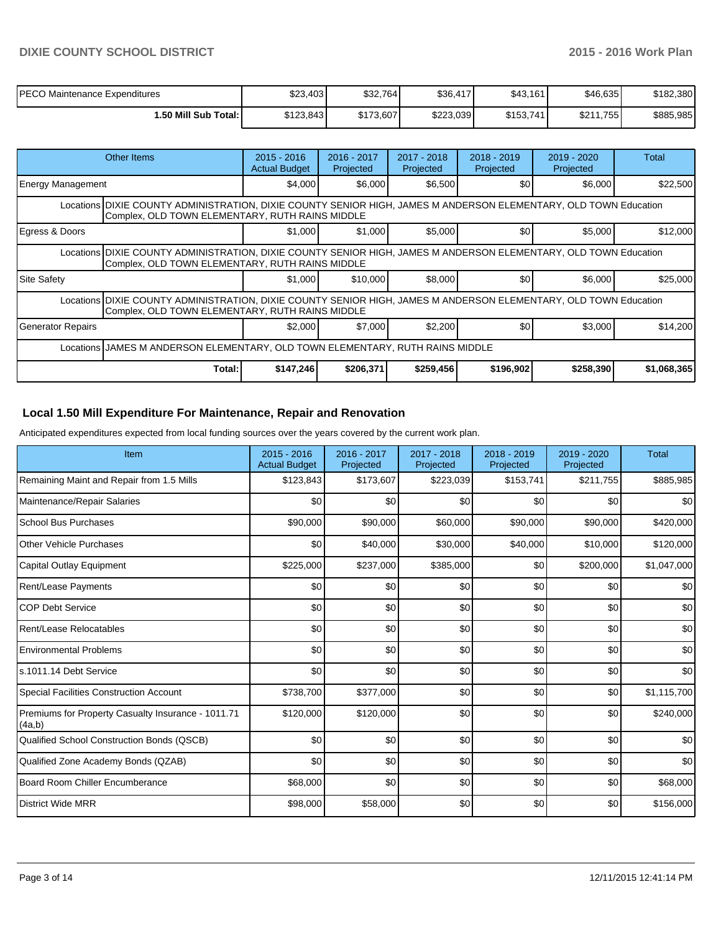| <b>PECO Maintenance Expenditures</b> | \$23,403  | \$32,764  | \$36,417  | \$43,161  | \$46,635  | \$182,380 |
|--------------------------------------|-----------|-----------|-----------|-----------|-----------|-----------|
| I.50 Mill Sub Total: I               | \$123,843 | \$173,607 | \$223.039 | \$153,741 | \$211.755 | \$885,985 |

| Other Items                                                                                                                                                         | $2015 - 2016$<br><b>Actual Budget</b>                                                                                                                               | $2016 - 2017$<br>Projected | 2017 - 2018<br>Projected | 2018 - 2019<br>Projected | 2019 - 2020<br>Projected | Total       |  |  |  |
|---------------------------------------------------------------------------------------------------------------------------------------------------------------------|---------------------------------------------------------------------------------------------------------------------------------------------------------------------|----------------------------|--------------------------|--------------------------|--------------------------|-------------|--|--|--|
| Energy Management                                                                                                                                                   | \$4,000                                                                                                                                                             | \$6,000                    | \$6,500                  | \$0                      | \$6,000                  | \$22,500    |  |  |  |
|                                                                                                                                                                     | Locations DIXIE COUNTY ADMINISTRATION, DIXIE COUNTY SENIOR HIGH, JAMES M ANDERSON ELEMENTARY, OLD TOWN Education<br>Complex, OLD TOWN ELEMENTARY, RUTH RAINS MIDDLE |                            |                          |                          |                          |             |  |  |  |
| Egress & Doors                                                                                                                                                      | \$1,000                                                                                                                                                             | \$1,000                    | \$5,000                  | \$0                      | \$5,000                  | \$12,000    |  |  |  |
| Locations DIXIE COUNTY ADMINISTRATION, DIXIE COUNTY SENIOR HIGH, JAMES M ANDERSON ELEMENTARY, OLD TOWN Education<br>Complex, OLD TOWN ELEMENTARY, RUTH RAINS MIDDLE |                                                                                                                                                                     |                            |                          |                          |                          |             |  |  |  |
| <b>Site Safety</b>                                                                                                                                                  | \$1,000                                                                                                                                                             | \$10,000                   | \$8,000                  | \$0                      | \$6,000                  | \$25,000    |  |  |  |
| Locations DIXIE COUNTY ADMINISTRATION, DIXIE COUNTY SENIOR HIGH, JAMES M ANDERSON ELEMENTARY, OLD TOWN Education<br>Complex, OLD TOWN ELEMENTARY, RUTH RAINS MIDDLE |                                                                                                                                                                     |                            |                          |                          |                          |             |  |  |  |
| <b>Generator Repairs</b>                                                                                                                                            | \$2.000                                                                                                                                                             | \$7,000                    | \$2,200                  | \$0                      | \$3,000                  | \$14,200    |  |  |  |
| Locations JJAMES M ANDERSON ELEMENTARY, OLD TOWN ELEMENTARY, RUTH RAINS MIDDLE                                                                                      |                                                                                                                                                                     |                            |                          |                          |                          |             |  |  |  |
| Total:                                                                                                                                                              | \$147,246                                                                                                                                                           | \$206,371                  | \$259,456                | \$196,902                | \$258,390                | \$1,068,365 |  |  |  |

# **Local 1.50 Mill Expenditure For Maintenance, Repair and Renovation**

Anticipated expenditures expected from local funding sources over the years covered by the current work plan.

| Item                                                         | 2015 - 2016<br><b>Actual Budget</b> | 2016 - 2017<br>Projected | 2017 - 2018<br>Projected | 2018 - 2019<br>Projected | 2019 - 2020<br>Projected | <b>Total</b> |
|--------------------------------------------------------------|-------------------------------------|--------------------------|--------------------------|--------------------------|--------------------------|--------------|
| Remaining Maint and Repair from 1.5 Mills                    | \$123,843                           | \$173,607                | \$223,039                | \$153,741                | \$211,755                | \$885,985    |
| Maintenance/Repair Salaries                                  | \$0                                 | \$0                      | \$0                      | \$0                      | \$0                      | \$0          |
| School Bus Purchases                                         | \$90,000                            | \$90,000                 | \$60,000                 | \$90,000                 | \$90,000                 | \$420,000    |
| <b>Other Vehicle Purchases</b>                               | \$0                                 | \$40,000                 | \$30,000                 | \$40,000                 | \$10,000                 | \$120,000    |
| Capital Outlay Equipment                                     | \$225,000                           | \$237,000                | \$385,000                | \$0                      | \$200,000                | \$1,047,000  |
| Rent/Lease Payments                                          | \$0                                 | \$0                      | \$0                      | \$0                      | \$0                      | \$0          |
| <b>COP Debt Service</b>                                      | \$0                                 | \$0                      | \$0                      | \$0                      | \$0                      | \$0          |
| Rent/Lease Relocatables                                      | \$0                                 | \$0                      | \$0                      | \$0                      | \$0                      | \$0          |
| <b>Environmental Problems</b>                                | \$0                                 | \$0                      | \$0                      | \$0                      | \$0                      | \$0          |
| s.1011.14 Debt Service                                       | SO <sub>2</sub>                     | \$0                      | \$0                      | \$0                      | \$0                      | \$0          |
| <b>Special Facilities Construction Account</b>               | \$738,700                           | \$377,000                | \$0                      | \$0                      | \$0                      | \$1,115,700  |
| Premiums for Property Casualty Insurance - 1011.71<br>(4a,b) | \$120,000                           | \$120,000                | \$0                      | \$0                      | \$0                      | \$240,000    |
| Qualified School Construction Bonds (QSCB)                   | \$0                                 | \$0                      | \$0                      | \$0                      | \$0                      | \$0          |
| Qualified Zone Academy Bonds (QZAB)                          | SO <sub>2</sub>                     | \$0                      | \$0                      | \$0                      | \$0                      | \$0          |
| Board Room Chiller Encumberance                              | \$68,000                            | \$0                      | \$0                      | \$0                      | \$0                      | \$68,000     |
| District Wide MRR                                            | \$98,000                            | \$58,000                 | \$0                      | \$0                      | \$0                      | \$156,000    |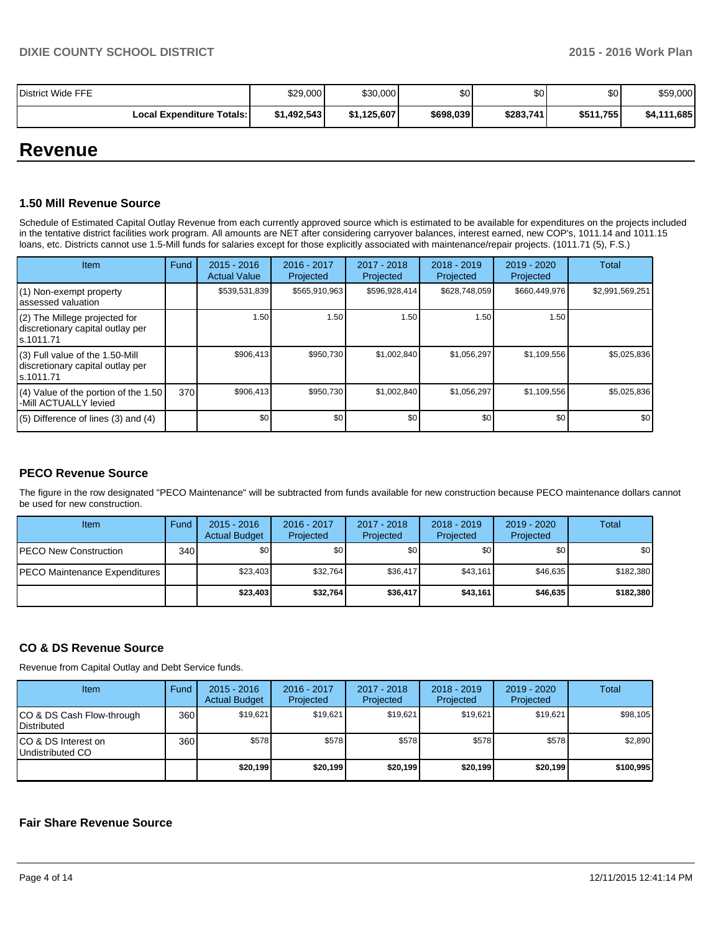| District Wide FFE                  | \$29,000    | \$30,000    | ا30       | \$0       | \$0       | \$59,000         |
|------------------------------------|-------------|-------------|-----------|-----------|-----------|------------------|
| <b>Local Expenditure Totals: I</b> | \$1.492.543 | \$1.125.607 | \$698,039 | \$283,741 | \$511,755 | 1.685<br>\$4,111 |

# **Revenue**

## **1.50 Mill Revenue Source**

Schedule of Estimated Capital Outlay Revenue from each currently approved source which is estimated to be available for expenditures on the projects included in the tentative district facilities work program. All amounts are NET after considering carryover balances, interest earned, new COP's, 1011.14 and 1011.15 loans, etc. Districts cannot use 1.5-Mill funds for salaries except for those explicitly associated with maintenance/repair projects. (1011.71 (5), F.S.)

| <b>Item</b>                                                                         | Fund | $2015 - 2016$<br><b>Actual Value</b> | $2016 - 2017$<br>Projected | 2017 - 2018<br>Projected | $2018 - 2019$<br>Projected | $2019 - 2020$<br>Projected | Total            |
|-------------------------------------------------------------------------------------|------|--------------------------------------|----------------------------|--------------------------|----------------------------|----------------------------|------------------|
| $(1)$ Non-exempt property<br>lassessed valuation                                    |      | \$539,531,839                        | \$565,910,963              | \$596,928,414            | \$628,748,059              | \$660,449,976              | \$2,991,569,251  |
| (2) The Millege projected for<br>discretionary capital outlay per<br>ls.1011.71     |      | 1.50                                 | 1.50 l                     | 1.50                     | 1.50                       | 1.50                       |                  |
| $(3)$ Full value of the 1.50-Mill<br>discretionary capital outlay per<br>ls.1011.71 |      | \$906,413                            | \$950,730                  | \$1,002,840              | \$1,056,297                | \$1,109,556                | \$5,025,836      |
| $(4)$ Value of the portion of the 1.50<br>-Mill ACTUALLY levied                     | 370  | \$906,413                            | \$950.730                  | \$1,002,840              | \$1,056,297                | \$1,109,556                | \$5,025,836      |
| $(5)$ Difference of lines (3) and (4)                                               |      | \$0                                  | \$0                        | \$0                      | \$0                        | \$0                        | \$0 <sub>1</sub> |

# **PECO Revenue Source**

The figure in the row designated "PECO Maintenance" will be subtracted from funds available for new construction because PECO maintenance dollars cannot be used for new construction.

| <b>Item</b>                           | Fund | $2015 - 2016$<br><b>Actual Budget</b> | 2016 - 2017<br>Projected | 2017 - 2018<br>Projected | $2018 - 2019$<br>Projected | $2019 - 2020$<br>Projected | Total     |
|---------------------------------------|------|---------------------------------------|--------------------------|--------------------------|----------------------------|----------------------------|-----------|
| <b>PECO New Construction</b>          | 340  | \$O I                                 | \$0                      | \$0                      | \$0                        | \$0                        | \$0       |
| <b>IPECO Maintenance Expenditures</b> |      | \$23.403                              | \$32.764                 | \$36,417                 | \$43.161                   | \$46,635                   | \$182,380 |
|                                       |      | \$23,403                              | \$32.764                 | \$36,417                 | \$43.161                   | \$46,635                   | \$182,380 |

# **CO & DS Revenue Source**

Revenue from Capital Outlay and Debt Service funds.

| <b>Item</b>                                        | Fund | $2015 - 2016$<br><b>Actual Budget</b> | 2016 - 2017<br>Projected | 2017 - 2018<br>Projected | $2018 - 2019$<br>Projected | $2019 - 2020$<br>Projected | Total     |
|----------------------------------------------------|------|---------------------------------------|--------------------------|--------------------------|----------------------------|----------------------------|-----------|
| ICO & DS Cash Flow-through<br><b>I</b> Distributed | 360  | \$19.621                              | \$19.621                 | \$19.621                 | \$19,621                   | \$19,621                   | \$98,105  |
| ICO & DS Interest on<br>Undistributed CO           | 360  | \$578                                 | \$578                    | \$578                    | \$578                      | \$578                      | \$2,890   |
|                                                    |      | \$20,199                              | \$20,199                 | \$20,199                 | \$20,199                   | \$20,199                   | \$100,995 |

### **Fair Share Revenue Source**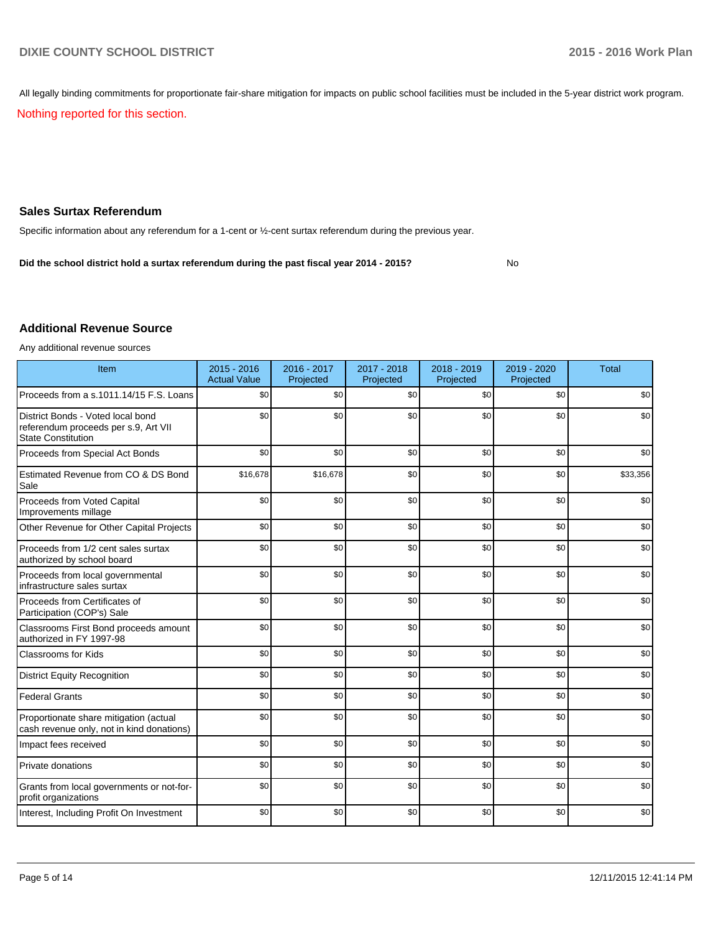All legally binding commitments for proportionate fair-share mitigation for impacts on public school facilities must be included in the 5-year district work program.

Nothing reported for this section.

# **Sales Surtax Referendum**

Specific information about any referendum for a 1-cent or ½-cent surtax referendum during the previous year.

No **Did the school district hold a surtax referendum during the past fiscal year 2014 - 2015?**

#### **Additional Revenue Source**

Any additional revenue sources

| Item                                                                                                   | 2015 - 2016<br><b>Actual Value</b> | 2016 - 2017<br>Projected | 2017 - 2018<br>Projected | 2018 - 2019<br>Projected | 2019 - 2020<br>Projected | <b>Total</b> |
|--------------------------------------------------------------------------------------------------------|------------------------------------|--------------------------|--------------------------|--------------------------|--------------------------|--------------|
| Proceeds from a s.1011.14/15 F.S. Loans                                                                | \$0                                | \$0                      | \$0                      | \$0                      | \$0                      | \$0          |
| District Bonds - Voted local bond<br>referendum proceeds per s.9, Art VII<br><b>State Constitution</b> | \$0                                | \$0                      | \$0                      | \$0                      | \$0                      | \$0          |
| Proceeds from Special Act Bonds                                                                        | \$0                                | \$0                      | \$0                      | \$0                      | \$0                      | \$0          |
| Estimated Revenue from CO & DS Bond<br>Sale                                                            | \$16,678                           | \$16,678                 | \$0                      | \$0                      | \$0                      | \$33,356     |
| Proceeds from Voted Capital<br>Improvements millage                                                    | \$0                                | \$0                      | \$0                      | \$0                      | \$0                      | \$0          |
| Other Revenue for Other Capital Projects                                                               | \$0                                | \$0                      | \$0                      | \$0                      | \$0                      | \$0          |
| Proceeds from 1/2 cent sales surtax<br>authorized by school board                                      | \$0                                | \$0                      | \$0                      | \$0                      | \$0                      | \$0          |
| Proceeds from local governmental<br>infrastructure sales surtax                                        | \$0                                | \$0                      | \$0                      | \$0                      | \$0                      | \$0          |
| Proceeds from Certificates of<br>Participation (COP's) Sale                                            | \$0                                | \$0                      | \$0                      | \$0                      | \$0                      | \$0          |
| Classrooms First Bond proceeds amount<br>authorized in FY 1997-98                                      | \$0                                | \$0                      | \$0                      | \$0                      | \$0                      | \$0          |
| <b>Classrooms for Kids</b>                                                                             | \$0                                | \$0                      | \$0                      | \$0                      | \$0                      | \$0          |
| <b>District Equity Recognition</b>                                                                     | \$0                                | \$0                      | \$0                      | \$0                      | \$0                      | \$0          |
| <b>Federal Grants</b>                                                                                  | \$0                                | \$0                      | \$0                      | \$0                      | \$0                      | \$0          |
| Proportionate share mitigation (actual<br>cash revenue only, not in kind donations)                    | \$0                                | \$0                      | \$0                      | \$0                      | \$0                      | \$0          |
| Impact fees received                                                                                   | \$0                                | \$0                      | \$0                      | \$0                      | \$0                      | \$0          |
| Private donations                                                                                      | \$0                                | \$0                      | \$0                      | \$0                      | \$0                      | \$0          |
| Grants from local governments or not-for-<br>profit organizations                                      | \$0                                | \$0                      | \$0                      | \$0                      | \$0                      | \$0          |
| Interest, Including Profit On Investment                                                               | \$0                                | \$0                      | \$0                      | \$0                      | \$0                      | \$0          |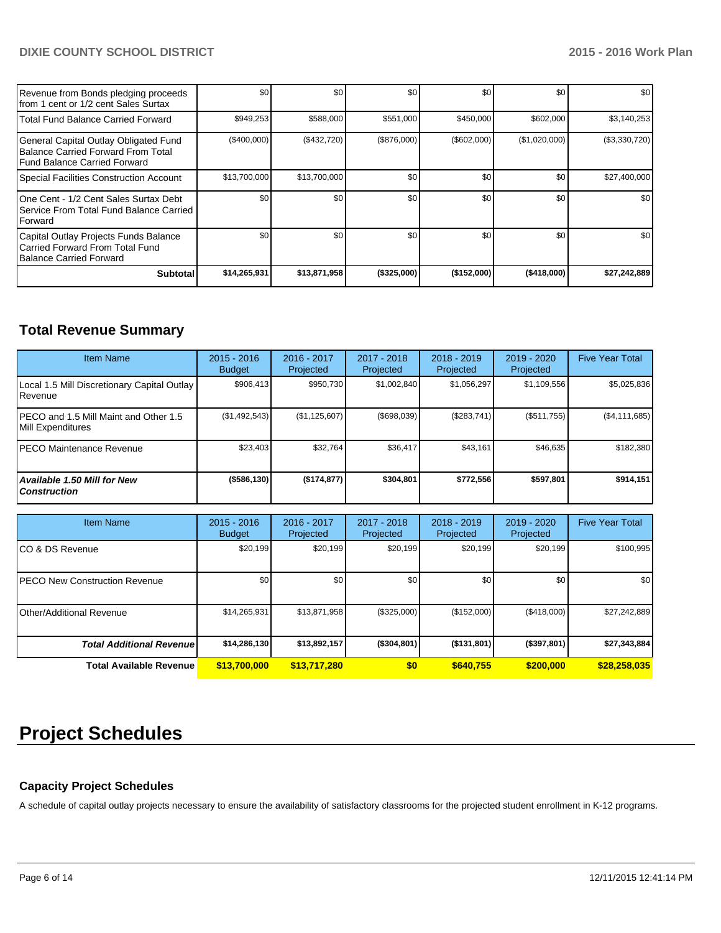# **DIXIE COUNTY SCHOOL DISTRICT 2015 - 2016 Work Plan**

| Revenue from Bonds pledging proceeds<br>Ifrom 1 cent or 1/2 cent Sales Surtax                                 | \$0          | \$0          | \$0         | \$0              | \$0           | \$0           |
|---------------------------------------------------------------------------------------------------------------|--------------|--------------|-------------|------------------|---------------|---------------|
| Total Fund Balance Carried Forward                                                                            | \$949,253    | \$588,000    | \$551,000   | \$450,000        | \$602,000     | \$3,140,253   |
| General Capital Outlay Obligated Fund<br>Balance Carried Forward From Total<br>l Fund Balance Carried Forward | (\$400,000)  | (\$432,720)  | (\$876,000) | (\$602,000)      | (\$1,020,000) | (\$3,330,720) |
| Special Facilities Construction Account                                                                       | \$13,700,000 | \$13,700,000 | \$0         | \$0              | \$0           | \$27,400,000  |
| IOne Cent - 1/2 Cent Sales Surtax Debt<br>Service From Total Fund Balance Carried<br><b>IForward</b>          | \$0          | \$0          | \$0         | \$0 <sub>1</sub> | \$0           | \$0           |
| Capital Outlay Projects Funds Balance<br>l Carried Forward From Total Fund<br>Balance Carried Forward         | \$0          | \$0          | \$0         | \$0              | \$0           | \$0           |
| <b>Subtotal</b>                                                                                               | \$14,265,931 | \$13,871,958 | (\$325,000) | (\$152,000)      | (\$418,000)   | \$27,242,889  |

# **Total Revenue Summary**

| <b>Item Name</b>                                           | $2015 - 2016$<br><b>Budget</b> | $2016 - 2017$<br>Projected | 2017 - 2018<br>Projected | $2018 - 2019$<br>Projected | $2019 - 2020$<br>Projected | <b>Five Year Total</b> |
|------------------------------------------------------------|--------------------------------|----------------------------|--------------------------|----------------------------|----------------------------|------------------------|
| Local 1.5 Mill Discretionary Capital Outlay<br>Revenue     | \$906.413                      | \$950.730                  | \$1.002.840              | \$1.056.297                | \$1,109,556                | \$5,025,836            |
| PECO and 1.5 Mill Maint and Other 1.5<br>Mill Expenditures | (\$1,492,543)                  | (\$1,125,607)              | (\$698,039)              | (S283.741)                 | (\$511,755)                | (\$4,111,685)          |
| IPECO Maintenance Revenue                                  | \$23,403                       | \$32,764                   | \$36,417                 | \$43.161                   | \$46,635                   | \$182,380              |
| <b>Available 1.50 Mill for New</b><br><b>Construction</b>  | $($ \$586,130)                 | (\$174, 877)               | \$304.801                | \$772,556                  | \$597.801                  | \$914,151              |

| <b>Item Name</b>                      | $2015 - 2016$<br><b>Budget</b> | 2016 - 2017<br>Projected | 2017 - 2018<br>Projected | $2018 - 2019$<br>Projected | 2019 - 2020<br>Projected | <b>Five Year Total</b> |
|---------------------------------------|--------------------------------|--------------------------|--------------------------|----------------------------|--------------------------|------------------------|
| ICO & DS Revenue                      | \$20,199                       | \$20,199                 | \$20,199                 | \$20,199                   | \$20,199                 | \$100,995              |
| <b>IPECO New Construction Revenue</b> | \$0                            | \$0                      | \$0                      | \$0                        | \$0                      | \$0                    |
| Other/Additional Revenue              | \$14,265,931                   | \$13,871,958             | (\$325,000)              | (S152,000)                 | (\$418,000)              | \$27,242,889           |
| <b>Total Additional Revenuel</b>      | \$14,286,130                   | \$13,892,157             | ( \$304, 801)            | $($ \$131,801)             | (\$397,801)              | \$27,343,884           |
| <b>Total Available Revenue</b>        | \$13,700,000                   | \$13,717,280             | \$0                      | \$640.755                  | \$200,000                | \$28,258,035           |

# **Project Schedules**

# **Capacity Project Schedules**

A schedule of capital outlay projects necessary to ensure the availability of satisfactory classrooms for the projected student enrollment in K-12 programs.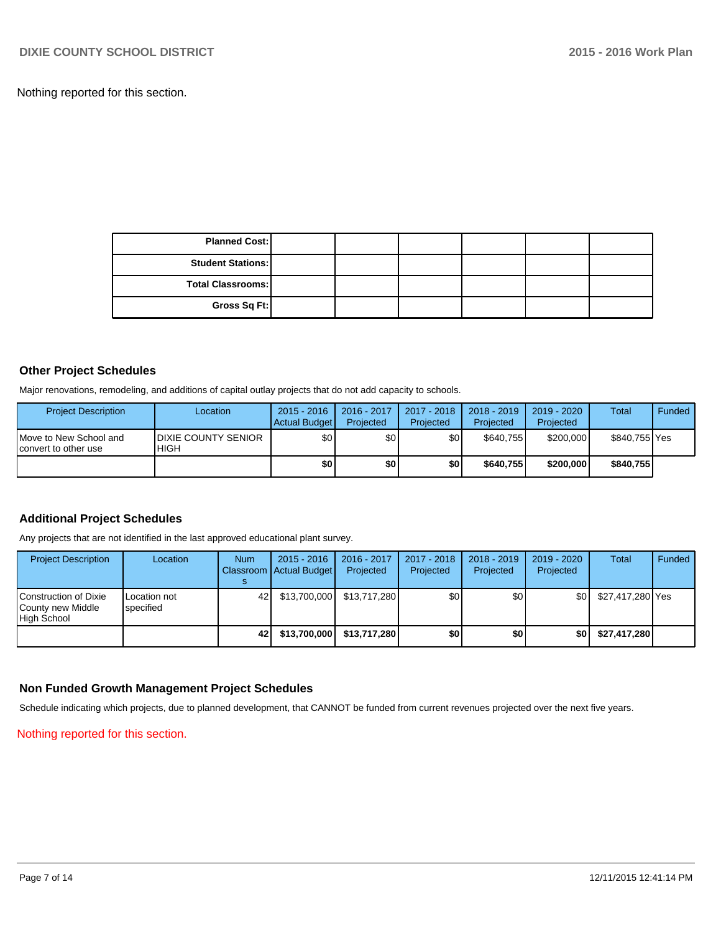Nothing reported for this section.

| <b>Planned Cost:</b>     |  |  |  |
|--------------------------|--|--|--|
| <b>Student Stations:</b> |  |  |  |
| <b>Total Classrooms:</b> |  |  |  |
| Gross Sq Ft:             |  |  |  |

### **Other Project Schedules**

Major renovations, remodeling, and additions of capital outlay projects that do not add capacity to schools.

| <b>Project Description</b>                     | Location                                   | $2015 - 2016$<br>Actual Budget | 2016 - 2017<br>Projected | 2017 - 2018<br>Projected | 2018 - 2019<br>Projected | 2019 - 2020<br>Projected | Total         | Funded |
|------------------------------------------------|--------------------------------------------|--------------------------------|--------------------------|--------------------------|--------------------------|--------------------------|---------------|--------|
| Move to New School and<br>convert to other use | <b>IDIXIE COUNTY SENIOR</b><br><b>HIGH</b> | \$0 <sub>1</sub>               | \$0 I                    | \$0l                     | \$640.755                | \$200,000                | \$840,755 Yes |        |
|                                                |                                            | \$0 I                          | \$O I                    | \$0 I                    | \$640,755                | \$200,000                | \$840,755     |        |

# **Additional Project Schedules**

Any projects that are not identified in the last approved educational plant survey.

| <b>Project Description</b>                                | Location                  | <b>Num</b> | $2015 - 2016$<br>Classroom   Actual Budget | $2016 - 2017$<br>Projected | $2017 - 2018$<br>Projected | $2018 - 2019$<br>Projected | 2019 - 2020<br>Projected | Total            | Funded |
|-----------------------------------------------------------|---------------------------|------------|--------------------------------------------|----------------------------|----------------------------|----------------------------|--------------------------|------------------|--------|
| Construction of Dixie<br>County new Middle<br>High School | Location not<br>specified | 421        | \$13,700,000                               | \$13.717.280               | \$0                        | \$0                        | \$0 I                    | \$27,417,280 Yes |        |
|                                                           |                           | 421        | \$13,700,000                               | \$13,717,280               | <b>\$01</b>                | \$0                        | ا 30                     | \$27,417,280     |        |

#### **Non Funded Growth Management Project Schedules**

Schedule indicating which projects, due to planned development, that CANNOT be funded from current revenues projected over the next five years.

Nothing reported for this section.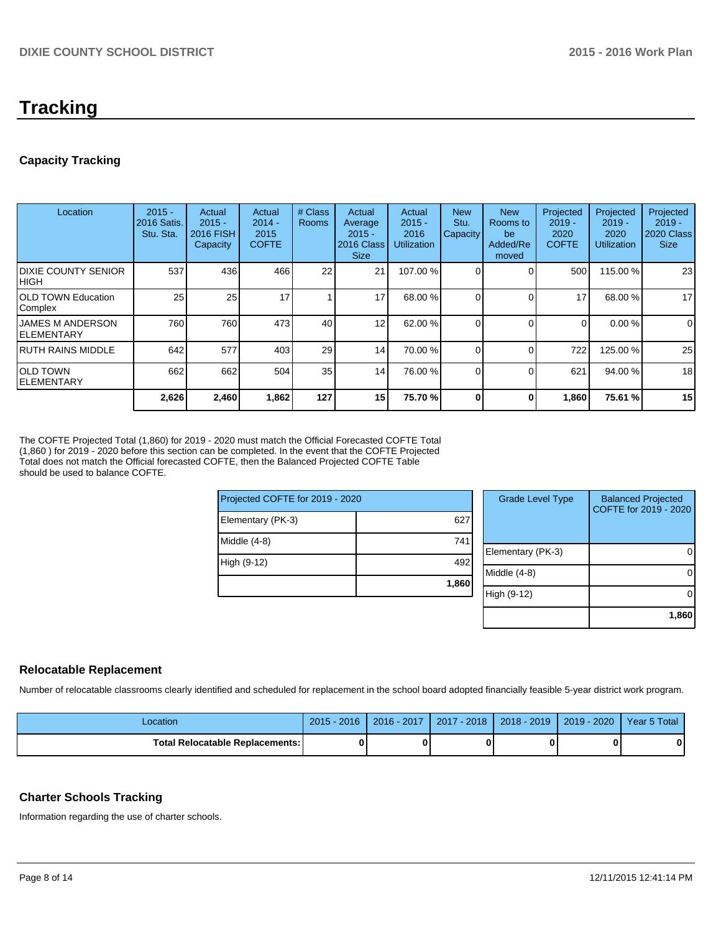# **Tracking**

# **Capacity Tracking**

| Location                                | $2015 -$<br>2016 Satis.<br>Stu. Sta. | Actual<br>$2015 -$<br><b>2016 FISH</b><br>Capacity | Actual<br>$2014 -$<br>2015<br><b>COFTE</b> | # Class<br><b>Rooms</b> | Actual<br>Average<br>$2015 -$<br>2016 Class<br><b>Size</b> | Actual<br>$2015 -$<br>2016<br><b>Utilization</b> | <b>New</b><br>Stu.<br><b>Capacity</b> | <b>New</b><br>Rooms to<br>be<br>Added/Re<br>moved | Projected<br>$2019 -$<br>2020<br><b>COFTE</b> | Projected<br>$2019 -$<br>2020<br>Utilization | Projected<br>$2019 -$<br><b>2020 Class</b><br><b>Size</b> |
|-----------------------------------------|--------------------------------------|----------------------------------------------------|--------------------------------------------|-------------------------|------------------------------------------------------------|--------------------------------------------------|---------------------------------------|---------------------------------------------------|-----------------------------------------------|----------------------------------------------|-----------------------------------------------------------|
| <b>IDIXIE COUNTY SENIOR</b><br>Ініgн    | 537                                  | 436                                                | 466                                        | 22                      | 21                                                         | 107.00 %                                         |                                       |                                                   | 500                                           | 115.00 %                                     | 23                                                        |
| <b>IOLD TOWN Education</b><br>Complex   | 25                                   | 25                                                 | 17                                         |                         | 17                                                         | 68.00 %                                          |                                       |                                                   | 17                                            | 68.00 %                                      | 17                                                        |
| <b>IJAMES M ANDERSON</b><br>IELEMENTARY | 760                                  | 760                                                | 473                                        | 40                      | 12                                                         | 62.00 %                                          |                                       |                                                   | $\Omega$                                      | 0.00 %                                       | $\Omega$                                                  |
| IRUTH RAINS MIDDLE                      | 642                                  | 577                                                | 403                                        | 29                      | 14                                                         | 70.00 %                                          |                                       |                                                   | 722                                           | 125.00 %                                     | 25                                                        |
| IOLD TOWN<br>IELEMENTARY                | 662                                  | 662                                                | 504                                        | 35 <sup>1</sup>         | 14                                                         | 76.00 %                                          |                                       |                                                   | 621                                           | 94.00 %                                      | 18                                                        |
|                                         | 2,626                                | 2,460                                              | 1,862                                      | 127                     | 15 <sup>1</sup>                                            | 75.70 %                                          | $\Omega$                              | 0                                                 | 1,860                                         | 75.61 %                                      | 15                                                        |

The COFTE Projected Total (1,860) for 2019 - 2020 must match the Official Forecasted COFTE Total (1,860 ) for 2019 - 2020 before this section can be completed. In the event that the COFTE Projected Total does not match the Official forecasted COFTE, then the Balanced Projected COFTE Table should be used to balance COFTE.

| Projected COFTE for 2019 - 2020 |       |  |       |  |  |
|---------------------------------|-------|--|-------|--|--|
| Elementary (PK-3)               | 627   |  |       |  |  |
| Middle (4-8)                    | 741   |  | Eleme |  |  |
| High (9-12)                     | 492   |  | Middl |  |  |
|                                 | 1,860 |  |       |  |  |
|                                 |       |  | High  |  |  |

| <b>Grade Level Type</b> | <b>Balanced Projected</b><br>COFTE for 2019 - 2020 |
|-------------------------|----------------------------------------------------|
| Elementary (PK-3)       |                                                    |
| Middle (4-8)            |                                                    |
| High (9-12)             |                                                    |
|                         | 1,860                                              |

# **Relocatable Replacement**

Number of relocatable classrooms clearly identified and scheduled for replacement in the school board adopted financially feasible 5-year district work program.

| _ocation                          | $2015 -$<br>2016 | $-2017$<br>$2016 -$ | $-2018$<br>2017 | $2018 - 2019$ | 2020<br>2019 | Year 5 Total |
|-----------------------------------|------------------|---------------------|-----------------|---------------|--------------|--------------|
| Total Relocatable Replacements: I | ŋ                |                     |                 |               |              |              |

# **Charter Schools Tracking**

Information regarding the use of charter schools.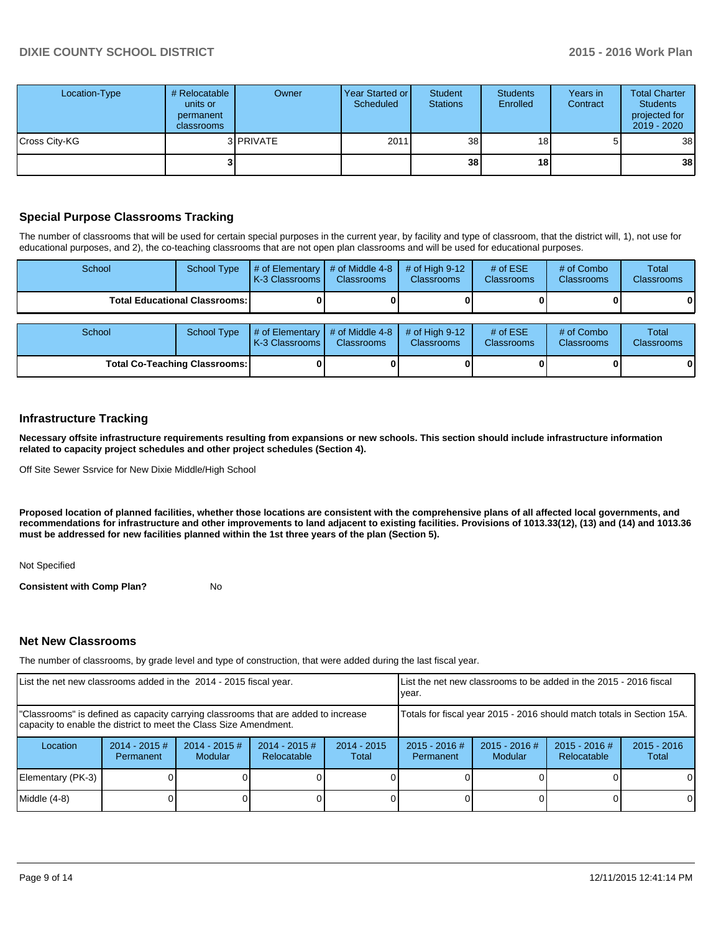| Location-Type | # Relocatable<br>units or<br>permanent<br><b>classrooms</b> | Owner             | Year Started or<br>Scheduled | Student<br><b>Stations</b> | <b>Students</b><br>Enrolled | Years in<br>Contract | <b>Total Charter</b><br><b>Students</b><br>projected for<br>2019 - 2020 |
|---------------|-------------------------------------------------------------|-------------------|------------------------------|----------------------------|-----------------------------|----------------------|-------------------------------------------------------------------------|
| Cross City-KG |                                                             | 3 <b>IPRIVATE</b> | 2011                         | 38 <sup>1</sup>            | 18 <sub>1</sub>             | 5                    | 38                                                                      |
|               |                                                             |                   |                              | 38                         | 18                          |                      | 38                                                                      |

# **Special Purpose Classrooms Tracking**

The number of classrooms that will be used for certain special purposes in the current year, by facility and type of classroom, that the district will, 1), not use for educational purposes, and 2), the co-teaching classrooms that are not open plan classrooms and will be used for educational purposes.

| School                                 | <b>School Type</b> | # of Elementary<br>K-3 Classrooms    | # of Middle 4-8<br><b>Classrooms</b> | # of High $9-12$<br><b>Classrooms</b> | # of $ESE$<br><b>Classrooms</b> | # of Combo<br><b>Classrooms</b> | Total<br><b>Classrooms</b> |
|----------------------------------------|--------------------|--------------------------------------|--------------------------------------|---------------------------------------|---------------------------------|---------------------------------|----------------------------|
| <b>Total Educational Classrooms: I</b> |                    |                                      |                                      |                                       |                                 |                                 |                            |
| School                                 | <b>School Type</b> | # of Elementary<br>LK-3 Classrooms I | # of Middle 4-8<br><b>Classrooms</b> | # of High $9-12$<br><b>Classrooms</b> | # of $ESE$<br><b>Classrooms</b> | # of Combo<br>Classrooms        | Total<br>Classrooms        |
| Total Co-Teaching Classrooms:          |                    |                                      |                                      |                                       |                                 |                                 |                            |

## **Infrastructure Tracking**

**Necessary offsite infrastructure requirements resulting from expansions or new schools. This section should include infrastructure information related to capacity project schedules and other project schedules (Section 4).**

Off Site Sewer Ssrvice for New Dixie Middle/High School

**Proposed location of planned facilities, whether those locations are consistent with the comprehensive plans of all affected local governments, and recommendations for infrastructure and other improvements to land adjacent to existing facilities. Provisions of 1013.33(12), (13) and (14) and 1013.36 must be addressed for new facilities planned within the 1st three years of the plan (Section 5).**

Not Specified

**Consistent with Comp Plan?** No

#### **Net New Classrooms**

The number of classrooms, by grade level and type of construction, that were added during the last fiscal year.

| List the net new classrooms added in the 2014 - 2015 fiscal year.                                                                                       |                                                                        |                            | Llist the net new classrooms to be added in the 2015 - 2016 fiscal<br>Ivear. |                        |                              |                                   |                                |                        |
|---------------------------------------------------------------------------------------------------------------------------------------------------------|------------------------------------------------------------------------|----------------------------|------------------------------------------------------------------------------|------------------------|------------------------------|-----------------------------------|--------------------------------|------------------------|
| "Classrooms" is defined as capacity carrying classrooms that are added to increase<br>capacity to enable the district to meet the Class Size Amendment. | Totals for fiscal year 2015 - 2016 should match totals in Section 15A. |                            |                                                                              |                        |                              |                                   |                                |                        |
| Location                                                                                                                                                | $2014 - 2015$ #<br>Permanent                                           | $2014 - 2015$ #<br>Modular | $2014 - 2015$ #<br>Relocatable                                               | $2014 - 2015$<br>Total | $2015 - 2016$ #<br>Permanent | $2015 - 2016$ #<br><b>Modular</b> | $2015 - 2016$ #<br>Relocatable | $2015 - 2016$<br>Total |
| Elementary (PK-3)                                                                                                                                       |                                                                        |                            |                                                                              |                        |                              |                                   |                                | $\Omega$               |
| Middle (4-8)                                                                                                                                            |                                                                        |                            |                                                                              |                        |                              |                                   |                                | 0                      |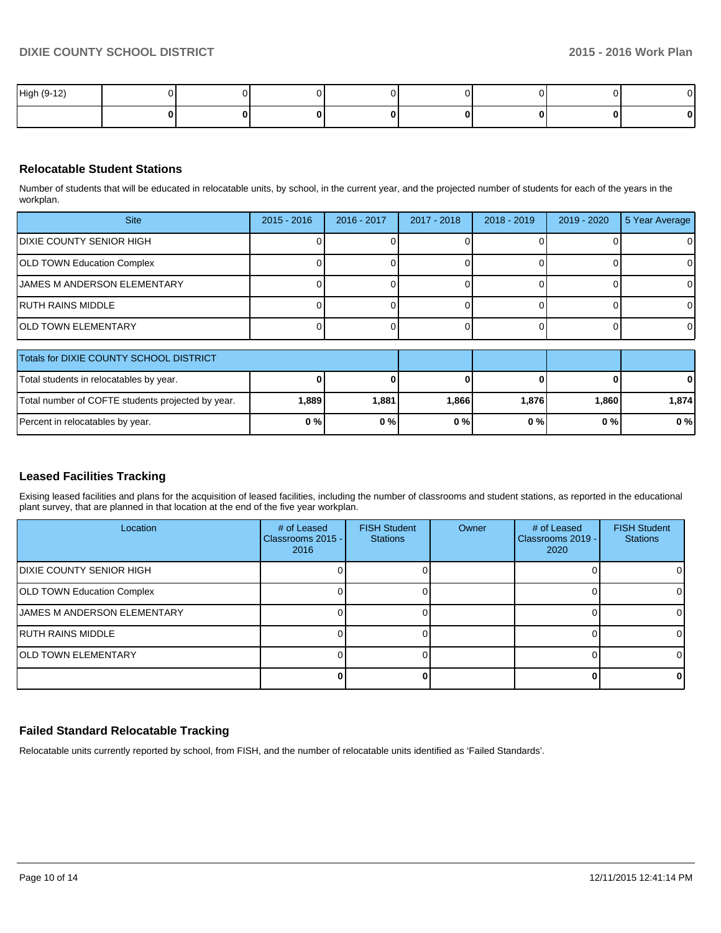| High (9-12) |  |  |  |  |
|-------------|--|--|--|--|
|             |  |  |  |  |

## **Relocatable Student Stations**

Number of students that will be educated in relocatable units, by school, in the current year, and the projected number of students for each of the years in the workplan.

| <b>Site</b>                  | $2015 - 2016$ | 2016 - 2017 | 2017 - 2018 | $2018 - 2019$ | 2019 - 2020 | 5 Year Average |
|------------------------------|---------------|-------------|-------------|---------------|-------------|----------------|
| IDIXIE COUNTY SENIOR HIGH    |               |             |             |               |             | 0              |
| OLD TOWN Education Complex   |               |             |             |               |             | $\Omega$       |
| IJAMES M ANDERSON ELEMENTARY |               |             |             |               |             | 0              |
| IRUTH RAINS MIDDLE           |               |             |             |               |             | $\Omega$       |
| <b>IOLD TOWN ELEMENTARY</b>  |               |             |             |               |             | $\Omega$       |

| Totals for DIXIE COUNTY SCHOOL DISTRICT           |       |       |       |       |       |       |
|---------------------------------------------------|-------|-------|-------|-------|-------|-------|
| Total students in relocatables by year.           |       |       |       |       |       | 0     |
| Total number of COFTE students projected by year. | 1,889 | 1.881 | 1,866 | 1,876 | 1.860 | 1.874 |
| Percent in relocatables by year.                  | 0%    | 0%    | 0%    | 0 % I | 0%    | 0%    |

#### **Leased Facilities Tracking**

Exising leased facilities and plans for the acquisition of leased facilities, including the number of classrooms and student stations, as reported in the educational plant survey, that are planned in that location at the end of the five year workplan.

| Location                          | # of Leased<br>Classrooms 2015 -<br>2016 | <b>FISH Student</b><br><b>Stations</b> | Owner | # of Leased<br>Classrooms 2019 -<br>2020 | <b>FISH Student</b><br><b>Stations</b> |
|-----------------------------------|------------------------------------------|----------------------------------------|-------|------------------------------------------|----------------------------------------|
| IDIXIE COUNTY SENIOR HIGH         |                                          |                                        |       |                                          | ΩI                                     |
| <b>OLD TOWN Education Complex</b> |                                          |                                        |       |                                          | $\Omega$                               |
| IJAMES M ANDERSON ELEMENTARY      |                                          |                                        |       |                                          | ΩI                                     |
| IRUTH RAINS MIDDLE                |                                          |                                        |       |                                          | ΩI                                     |
| <b>IOLD TOWN ELEMENTARY</b>       |                                          |                                        |       |                                          |                                        |
|                                   |                                          |                                        |       |                                          | 0                                      |

## **Failed Standard Relocatable Tracking**

Relocatable units currently reported by school, from FISH, and the number of relocatable units identified as 'Failed Standards'.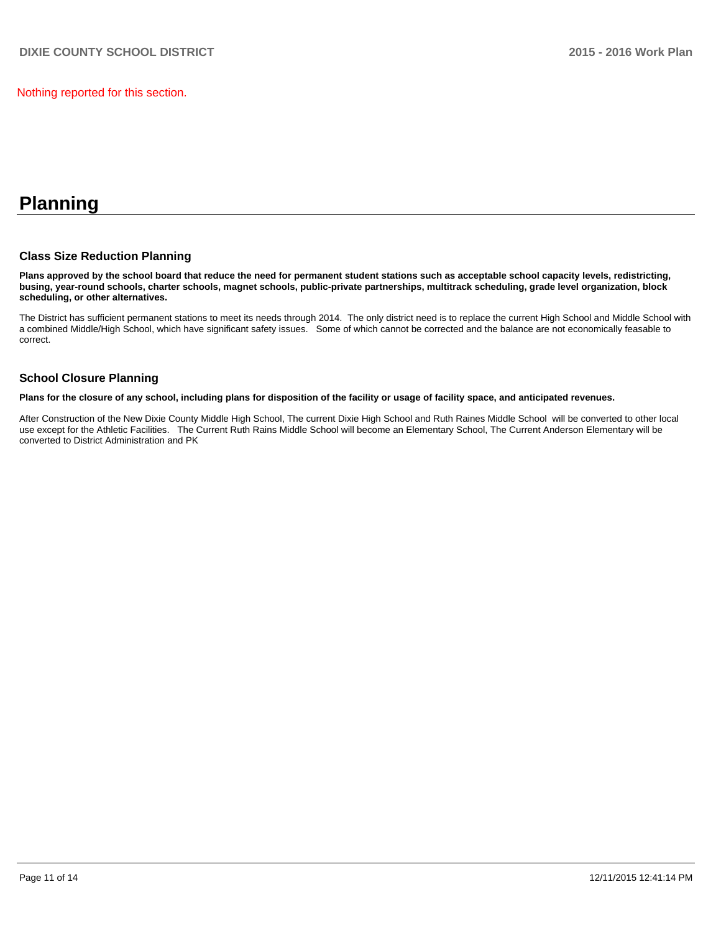Nothing reported for this section.

# **Planning**

#### **Class Size Reduction Planning**

**Plans approved by the school board that reduce the need for permanent student stations such as acceptable school capacity levels, redistricting, busing, year-round schools, charter schools, magnet schools, public-private partnerships, multitrack scheduling, grade level organization, block scheduling, or other alternatives.**

The District has sufficient permanent stations to meet its needs through 2014. The only district need is to replace the current High School and Middle School with a combined Middle/High School, which have significant safety issues. Some of which cannot be corrected and the balance are not economically feasable to correct.

## **School Closure Planning**

**Plans for the closure of any school, including plans for disposition of the facility or usage of facility space, and anticipated revenues.**

After Construction of the New Dixie County Middle High School, The current Dixie High School and Ruth Raines Middle School will be converted to other local use except for the Athletic Facilities. The Current Ruth Rains Middle School will become an Elementary School, The Current Anderson Elementary will be converted to District Administration and PK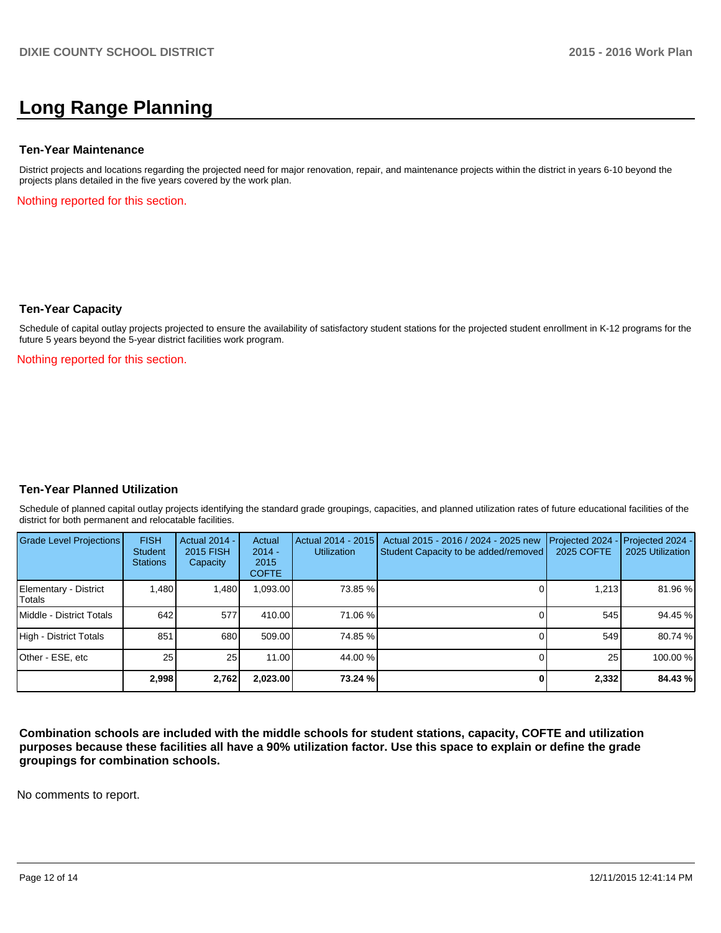# **Long Range Planning**

#### **Ten-Year Maintenance**

District projects and locations regarding the projected need for major renovation, repair, and maintenance projects within the district in years 6-10 beyond the projects plans detailed in the five years covered by the work plan.

Nothing reported for this section.

#### **Ten-Year Capacity**

Schedule of capital outlay projects projected to ensure the availability of satisfactory student stations for the projected student enrollment in K-12 programs for the future 5 years beyond the 5-year district facilities work program.

Nothing reported for this section.

#### **Ten-Year Planned Utilization**

Schedule of planned capital outlay projects identifying the standard grade groupings, capacities, and planned utilization rates of future educational facilities of the district for both permanent and relocatable facilities.

| Grade Level Projections         | <b>FISH</b><br><b>Student</b><br><b>Stations</b> | <b>Actual 2014 -</b><br>2015 FISH<br>Capacity | Actual<br>$2014 -$<br>2015<br><b>COFTE</b> | Actual 2014 - 2015<br><b>Utilization</b> | Actual 2015 - 2016 / 2024 - 2025 new<br>Student Capacity to be added/removed | Projected 2024<br>2025 COFTE | $-$ Projected 2024 -<br>2025 Utilization |
|---------------------------------|--------------------------------------------------|-----------------------------------------------|--------------------------------------------|------------------------------------------|------------------------------------------------------------------------------|------------------------------|------------------------------------------|
| Elementary - District<br>Totals | 1.480                                            | 1,480                                         | 1,093.00                                   | 73.85 %                                  |                                                                              | 1.213                        | 81.96 %                                  |
| Middle - District Totals        | 642                                              | 577                                           | 410.00                                     | 71.06 %                                  |                                                                              | 545                          | 94.45 %                                  |
| High - District Totals          | 851                                              | 680                                           | 509.00                                     | 74.85 %                                  |                                                                              | 549                          | 80.74 %                                  |
| Other - ESE, etc                | 25 <sub>1</sub>                                  | 25 <sub>1</sub>                               | 11.00                                      | 44.00 %                                  |                                                                              | 25                           | 100.00 %                                 |
|                                 | 2.998                                            | 2,762                                         | 2,023.00                                   | 73.24 %                                  |                                                                              | 2,332                        | 84.43 %                                  |

**Combination schools are included with the middle schools for student stations, capacity, COFTE and utilization purposes because these facilities all have a 90% utilization factor. Use this space to explain or define the grade groupings for combination schools.**

No comments to report.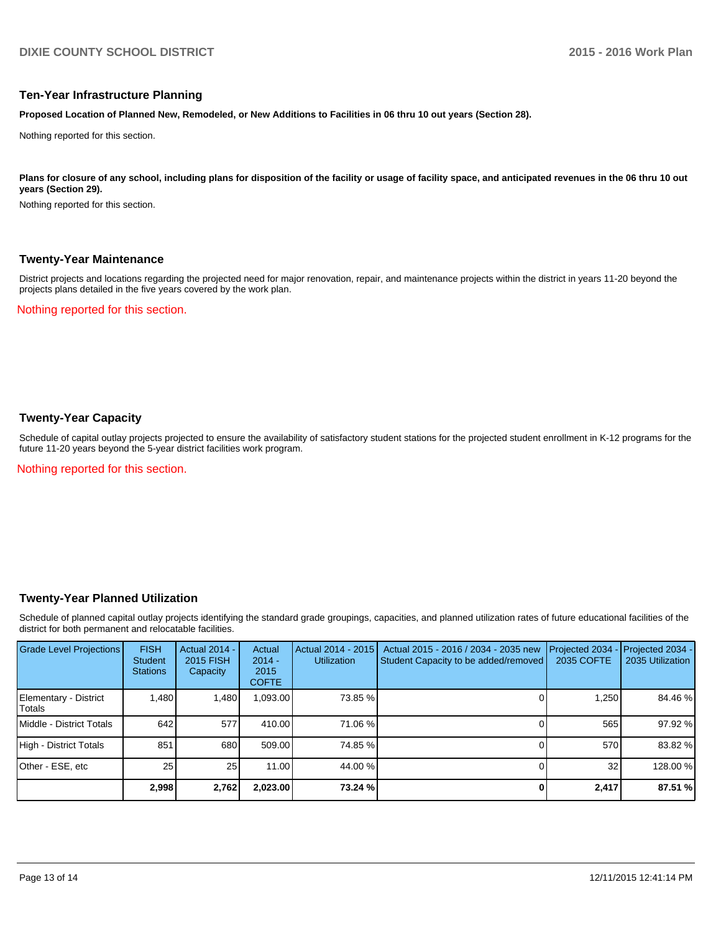#### **Ten-Year Infrastructure Planning**

**Proposed Location of Planned New, Remodeled, or New Additions to Facilities in 06 thru 10 out years (Section 28).**

Nothing reported for this section.

Plans for closure of any school, including plans for disposition of the facility or usage of facility space, and anticipated revenues in the 06 thru 10 out **years (Section 29).**

Nothing reported for this section.

#### **Twenty-Year Maintenance**

District projects and locations regarding the projected need for major renovation, repair, and maintenance projects within the district in years 11-20 beyond the projects plans detailed in the five years covered by the work plan.

Nothing reported for this section.

## **Twenty-Year Capacity**

Schedule of capital outlay projects projected to ensure the availability of satisfactory student stations for the projected student enrollment in K-12 programs for the future 11-20 years beyond the 5-year district facilities work program.

Nothing reported for this section.

#### **Twenty-Year Planned Utilization**

Schedule of planned capital outlay projects identifying the standard grade groupings, capacities, and planned utilization rates of future educational facilities of the district for both permanent and relocatable facilities.

| <b>Grade Level Projections</b>   | <b>FISH</b><br><b>Student</b><br><b>Stations</b> | <b>Actual 2014 -</b><br>2015 FISH<br>Capacity | Actual<br>$2014 -$<br>2015<br><b>COFTE</b> | Actual 2014 - 2015<br><b>Utilization</b> | Actual 2015 - 2016 / 2034 - 2035 new<br>Student Capacity to be added/removed | Projected 2034<br>2035 COFTE | Projected 2034 -<br>2035 Utilization |
|----------------------------------|--------------------------------------------------|-----------------------------------------------|--------------------------------------------|------------------------------------------|------------------------------------------------------------------------------|------------------------------|--------------------------------------|
| Elementary - District<br> Totals | 1.480                                            | 1,480                                         | 1,093.00                                   | 73.85 %                                  |                                                                              | 1,250                        | 84.46 %                              |
| <b>IMiddle - District Totals</b> | 642                                              | 577                                           | 410.00                                     | 71.06 %                                  |                                                                              | 565                          | 97.92 %                              |
| High - District Totals           | 851                                              | 680                                           | 509.00                                     | 74.85 %                                  |                                                                              | 570                          | 83.82 %                              |
| Other - ESE, etc                 | 25 <sub>l</sub>                                  | 25                                            | 11.00                                      | 44.00 %                                  |                                                                              | 32                           | 128.00 %                             |
|                                  | 2.998                                            | 2,762                                         | 2,023.00                                   | 73.24 %                                  |                                                                              | 2,417                        | 87.51 %                              |